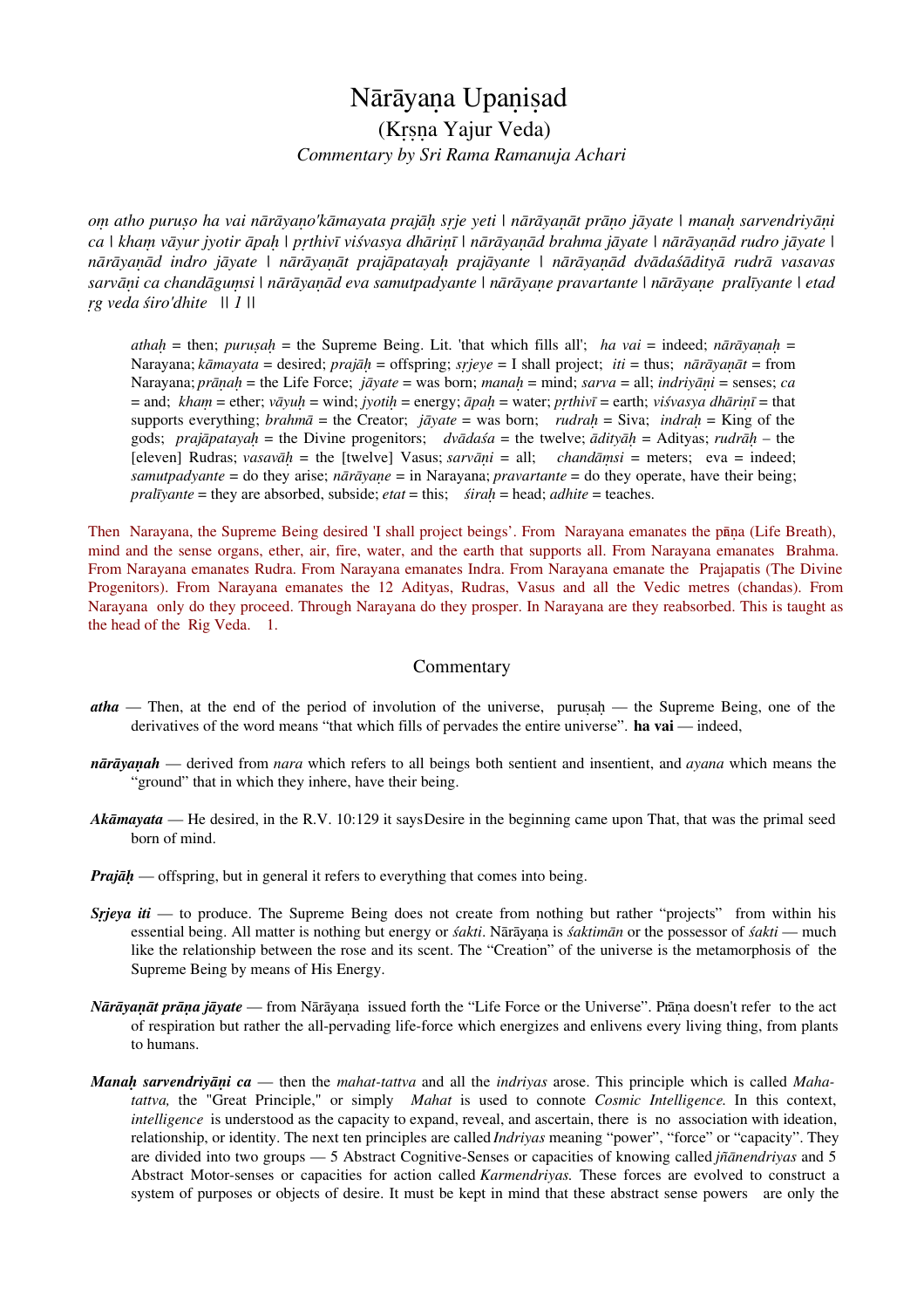# Nārāyaṇa Upaṇiṣad (Kṛṣṇa Yajur Veda) *Commentary by Sri Rama Ramanuja Achari*

*oṃ atho puruṣo ha vai nārāyaṇo'kāmayata prajāḥ sṛje yeti | nārāyaṇāt prāṇo jāyate | manaḥ sarvendriyāṇi ca | khaṃ vāyur jyotir āpaḥ | pṛthivī viśvasya dhāriṇī | nārāyaṇād brahma jāyate | nārāyaṇād rudro jāyate | nārāyaṇād indro jāyate | nārāyaṇāt prajāpatayaḥ prajāyante | nārāyaṇād dvādaśādityā rudrā vasavas sarvāṇi ca chandāguṃsi | nārāyaṇād eva samutpadyante | nārāyaṇe pravartante | nārāyaṇe pralīyante | etad ṛg veda śiro'dhite || 1 ||*

*athaḥ* = then; *puruṣaḥ* = the Supreme Being. Lit. 'that which fills all'; *ha vai* = indeed; *nārāyaṇaḥ* = Narayana; *kāmayata* = desired; *prajāḥ* = offspring; *sṛjeye* = I shall project; *iti* = thus; *nārāyaṇāt* = from Narayana; *prāṇaḥ* = the Life Force; *jāyate* = was born; *manaḥ* = mind; *sarva* = all; *indriyāṇi* = senses; *ca* = and; *khaṃ* = ether; *vāyuḥ* = wind; *jyotiḥ* = energy; *āpaḥ* = water; *pṛthivī* = earth; *viśvasya dhāriṇī* = that supports everything; *brahmā* = the Creator; *jāyate* = was born; *rudraḥ* = Siva; *indraḥ* = King of the gods; *prajāpatayaḥ* = the Divine progenitors; *dvādaśa* = the twelve; *ādityāḥ* = Adityas; *rudrāḥ* – the [eleven] Rudras; *vasavāḥ* = the [twelve] Vasus; *sarvāṇi* = all; *chandāṃsi* = meters; eva = indeed; *samutpadyante* = do they arise; *nārāyaṇe* = in Narayana; *pravartante* = do they operate, have their being; *pralīyante* = they are absorbed, subside; *etat* = this; *śiraḥ* = head; *adhite* = teaches.

Then Narayana, the Supreme Being desired 'I shall project beings'. From Narayana emanates the pāṇa (Life Breath), mind and the sense organs, ether, air, fire, water, and the earth that supports all. From Narayana emanates Brahma. From Narayana emanates Rudra. From Narayana emanates Indra. From Narayana emanate the Prajapatis (The Divine Progenitors). From Narayana emanates the 12 Adityas, Rudras, Vasus and all the Vedic metres (chandas). From Narayana only do they proceed. Through Narayana do they prosper. In Narayana are they reabsorbed. This is taught as the head of the Rig Veda. 1.

#### Commentary

- *atha* Then, at the end of the period of involution of the universe, puruṣaḥ the Supreme Being, one of the derivatives of the word means "that which fills of pervades the entire universe". **ha vai** — indeed,
- *nārāyaṇah* derived from *nara* which refers to all beings both sentient and insentient, and *ayana* which means the "ground" that in which they inhere, have their being.
- *Akāmayata* He desired, in the R.V. 10:129 it says Desire in the beginning came upon That, that was the primal seed born of mind.
- *Prajāh* offspring, but in general it refers to everything that comes into being.
- *Srjeya iti* to produce. The Supreme Being does not create from nothing but rather "projects" from within his essential being. All matter is nothing but energy or *śakti*. Nārāyaṇa is *śaktimān* or the possessor of *śakti* — much like the relationship between the rose and its scent. The "Creation" of the universe is the metamorphosis of the Supreme Being by means of His Energy.
- *Nārāyaṇāt prāṇa jāyate*  from Nārāyaṇa issued forth the "Life Force or the Universe". Prāṇa doesn't refer to the act of respiration but rather the all-pervading life-force which energizes and enlivens every living thing, from plants to humans.
- *Manaḥ sarvendriyāṇi ca* then the *mahat-tattva* and all the *indriyas* arose. This principle which is called *Mahatattva,* the "Great Principle," or simply *Mahat* is used to connote *Cosmic Intelligence*. In this context, *intelligence* is understood as the capacity to expand, reveal, and ascertain, there is no association with ideation, relationship, or identity. The next ten principles are called *Indriyas* meaning "power", "force" or "capacity". They are divided into two groups — 5 Abstract Cognitive-Senses or capacities of knowing called *jñānendriyas* and 5 Abstract Motor-senses or capacities for action called *Karmendriyas.* These forces are evolved to construct a system of purposes or objects of desire. It must be kept in mind that these abstract sense powers are only the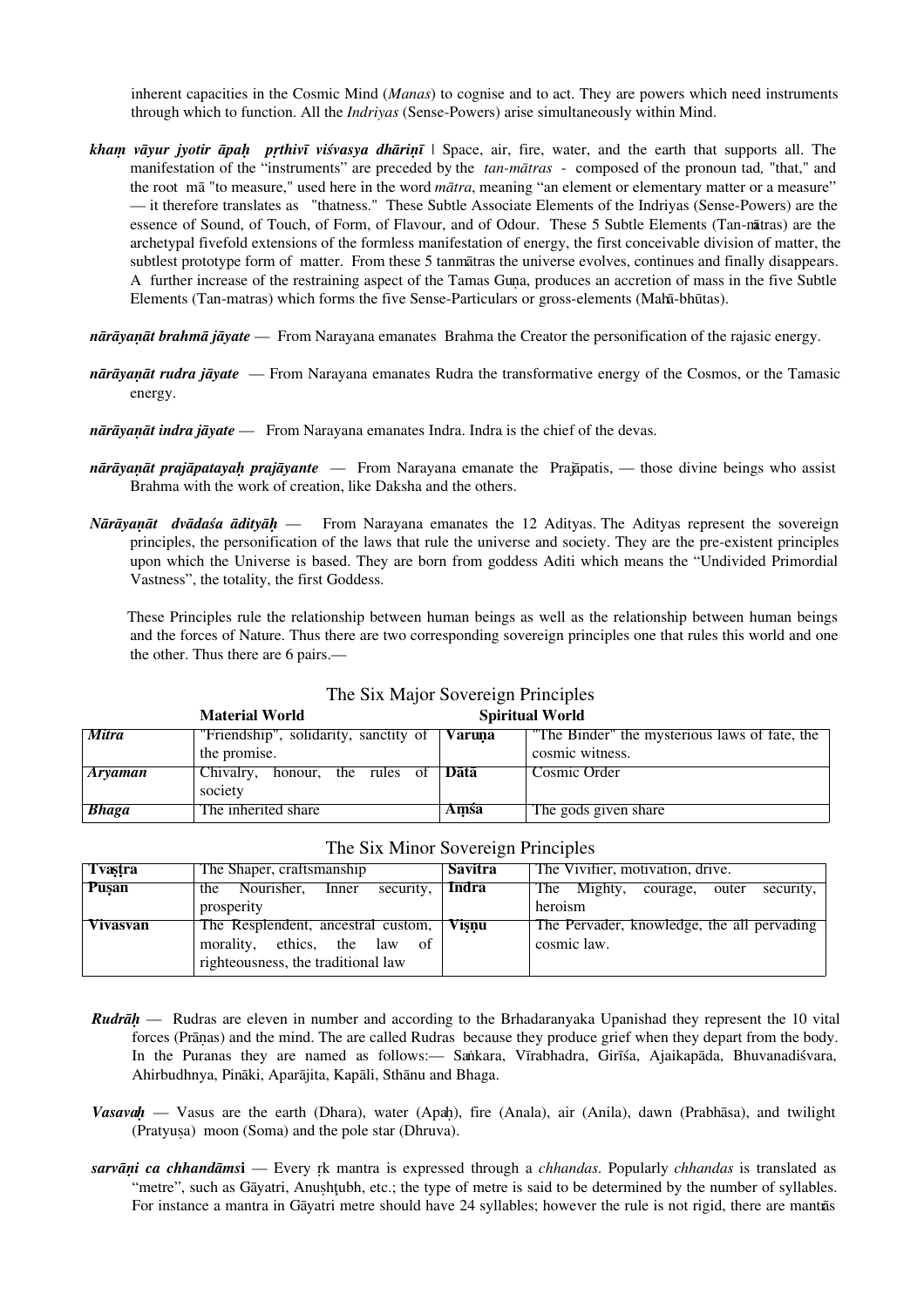inherent capacities in the Cosmic Mind (*Manas*) to cognise and to act. They are powers which need instruments through which to function. All the *Indriyas* (Sense-Powers) arise simultaneously within Mind.

- *khaṃ vāyur jyotir āpaḥ pṛthivī viśvasya dhāriṇī* | Space, air, fire, water, and the earth that supports all. The manifestation of the "instruments" are preceded by the *tan-mātras* - composed of the pronoun tad*,* "that," and the root mā "to measure," used here in the word *mātra*, meaning "an element or elementary matter or a measure" — it therefore translates as "thatness." These Subtle Associate Elements of the Indriyas (Sense-Powers) are the essence of Sound, of Touch, of Form, of Flavour, and of Odour. These 5 Subtle Elements (Tan-mātras) are the archetypal fivefold extensions of the formless manifestation of energy, the first conceivable division of matter, the subtlest prototype form of matter. From these 5 tanmātras the universe evolves, continues and finally disappears. A further increase of the restraining aspect of the Tamas Guṇa, produces an accretion of mass in the five Subtle Elements (Tan-matras) which forms the five Sense-Particulars or gross-elements (Mahā-bhūtas).
- *nārāyaṇāt brahmā jāyate* From Narayana emanates Brahma the Creator the personification of the rajasic energy.
- *nārāyaṇāt rudra jāyate* From Narayana emanates Rudra the transformative energy of the Cosmos, or the Tamasic energy.

*nārāyaṇāt indra jāyate* — From Narayana emanates Indra. Indra is the chief of the devas.

- *nārāyaṇāt prajāpatayaḥ prajāyante*  From Narayana emanate the Prajāpatis, those divine beings who assist Brahma with the work of creation, like Daksha and the others.
- *Nārāyaṇāt dvādaśa ādityāḥ* From Narayana emanates the 12 Adityas. The Adityas represent the sovereign principles, the personification of the laws that rule the universe and society. They are the pre-existent principles upon which the Universe is based. They are born from goddess Aditi which means the "Undivided Primordial Vastness", the totality, the first Goddess.

These Principles rule the relationship between human beings as well as the relationship between human beings and the forces of Nature. Thus there are two corresponding sovereign principles one that rules this world and one the other. Thus there are 6 pairs.—

|                | <b>Material World</b>                             |        | <b>Spiritual World</b>                        |
|----------------|---------------------------------------------------|--------|-----------------------------------------------|
| Mitra          | "Friendship", solidarity, sanctity of             | Varuna | "The Binder" the mysterious laws of fate, the |
|                | the promise.                                      |        | cosmic witness.                               |
| <b>Aryaman</b> | Chivalry, honour, the rules of $D\bar{a}t\bar{a}$ |        | Cosmic Order                                  |
|                | society                                           |        |                                               |
| <b>Bhaga</b>   | The inherited share                               | Amśa   | The gods given share                          |

## The Six Major Sovereign Principles

| <b>Tvastra</b>  | The Shaper, craftsmanship                                                                                     | <b>Savitra</b> | The Vivifier, motivation, drive.                          |  |
|-----------------|---------------------------------------------------------------------------------------------------------------|----------------|-----------------------------------------------------------|--|
| Pusan           | the Nourisher,<br>security,<br>Inner                                                                          | <b>Indra</b>   | The Mighty, courage, outer<br>security,                   |  |
|                 | prosperity                                                                                                    |                | heroism                                                   |  |
| <b>Vivasvan</b> | The Resplendent, ancestral custom,<br>morality, ethics, the law<br>- of<br>righteousness, the traditional law | <b>Visnu</b>   | The Pervader, knowledge, the all pervading<br>cosmic law. |  |

### The Six Minor Sovereign Principles

- *Rudrāḥ* Rudras are eleven in number and according to the Brhadaranyaka Upanishad they represent the 10 vital forces (Prāṇas) and the mind. The are called Rudras because they produce grief when they depart from the body. In the Puranas they are named as follows:— Saṅkara, Vīrabhadra, Girīśa, Ajaikapāda, Bhuvanadiśvara, Ahirbudhnya, Pināki, Aparājita, Kapāli, Sthānu and Bhaga.
- *Vasavah* Vasus are the earth (Dhara), water (Apah), fire (Anala), air (Anila), dawn (Prabhāsa), and twilight (Pratyuṣa) moon (Soma) and the pole star (Dhruva).
- *sarvāṇi ca chhandāms***i** Every ṛk mantra is expressed through a *chhandas*. Popularly *chhandas* is translated as "metre", such as Gāyatri, Anuṣhṭubh, etc.; the type of metre is said to be determined by the number of syllables. For instance a mantra in Gāyatri metre should have 24 syllables; however the rule is not rigid, there are mantrās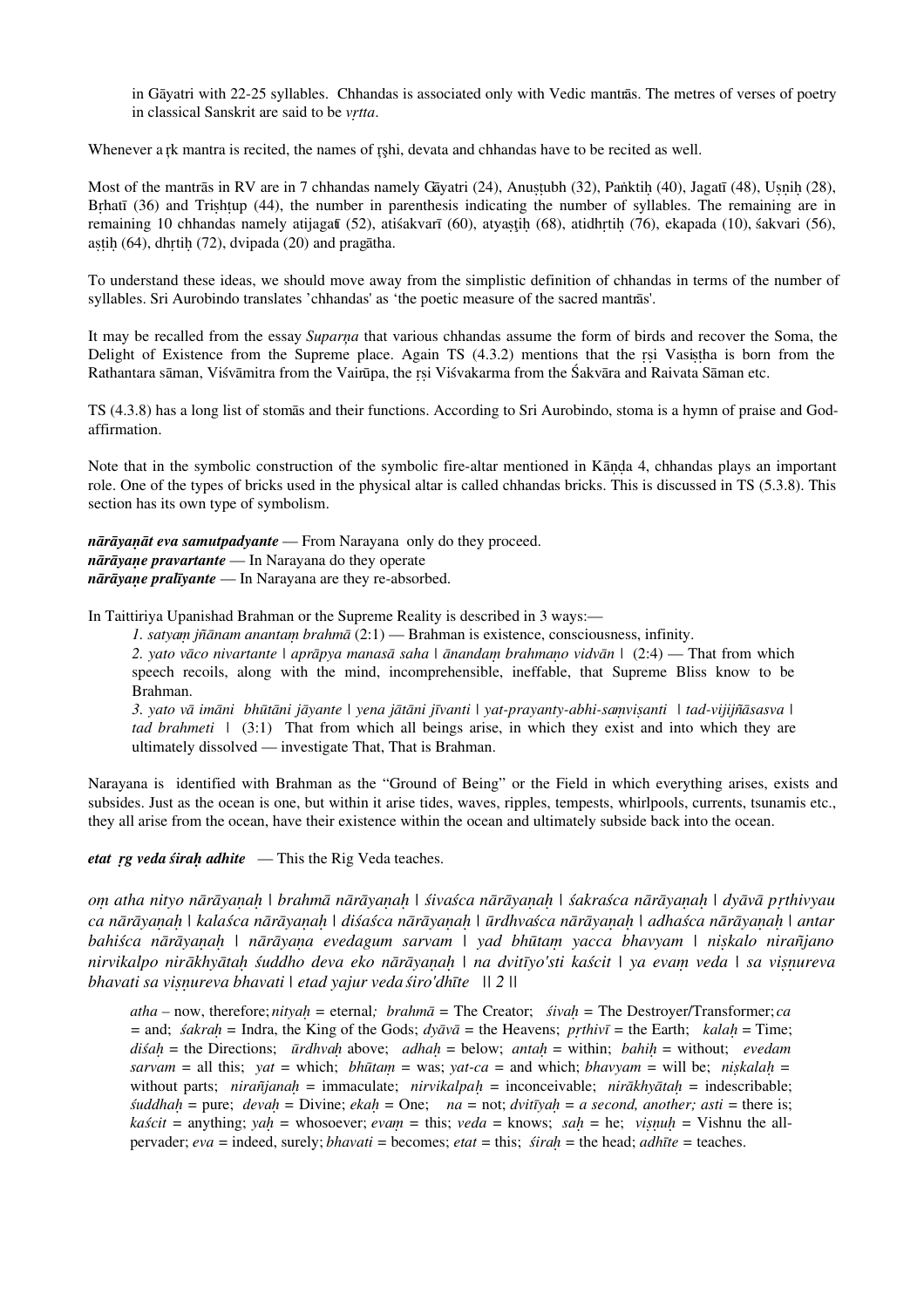in Gāyatri with 22-25 syllables. Chhandas is associated only with Vedic mantrās. The metres of verses of poetry in classical Sanskrit are said to be *vṛtta*.

Whenever a rk mantra is recited, the names of rshi, devata and chhandas have to be recited as well.

Most of the mantrās in RV are in 7 chhandas namely Gāyatri (24), Anustubh (32), Paṅktih (40), Jagatī (48), Usnih (28), Brhatī (36) and Trishtup (44), the number in parenthesis indicating the number of syllables. The remaining are in remaining 10 chhandas namely atijagatī (52), atiśakvarī (60), atyaṣţiḥ (68), atidhṛtiḥ (76), ekapada (10), śakvari (56), astih (64), dhrtih (72), dvipada (20) and pragātha.

To understand these ideas, we should move away from the simplistic definition of chhandas in terms of the number of syllables. Sri Aurobindo translates 'chhandas' as 'the poetic measure of the sacred mantrās'.

It may be recalled from the essay *Suparņa* that various chhandas assume the form of birds and recover the Soma, the Delight of Existence from the Supreme place. Again TS (4.3.2) mentions that the ṛṣi Vasiṣṭha is born from the Rathantara sāman, Viśvāmitra from the Vairūpa, the rsi Viśvakarma from the Śakvāra and Raivata Sāman etc.

TS (4.3.8) has a long list of stomās and their functions. According to Sri Aurobindo, stoma is a hymn of praise and Godaffirmation.

Note that in the symbolic construction of the symbolic fire-altar mentioned in Kanda 4, chhandas plays an important role. One of the types of bricks used in the physical altar is called chhandas bricks. This is discussed in TS (5.3.8). This section has its own type of symbolism.

*nārāyaṇāt eva samutpadyante* — From Narayana only do they proceed. *nārāyaṇe pravartante* — In Narayana do they operate *nārāyaṇe pralīyante* — In Narayana are they re-absorbed.

In Taittiriya Upanishad Brahman or the Supreme Reality is described in 3 ways:—

*1. satyaṃ jñānam anantaṃ brahmā* (2:1) — Brahman is existence, consciousness, infinity.

*2. yato vāco nivartante | aprāpya manasā saha | ānandaṃ brahmaṇo vidvān* | (2:4) — That from which speech recoils, along with the mind, incomprehensible, ineffable, that Supreme Bliss know to be Brahman.

*3. yato vā imāni bhūtāni jāyante | yena jātāni jīvanti | yat-prayanty-abhi-saṃviṣanti | tad-vijijñāsasva | tad brahmeti* | (3:1) That from which all beings arise, in which they exist and into which they are ultimately dissolved — investigate That, That is Brahman.

Narayana is identified with Brahman as the "Ground of Being" or the Field in which everything arises, exists and subsides. Just as the ocean is one, but within it arise tides, waves, ripples, tempests, whirlpools, currents, tsunamis etc., they all arise from the ocean, have their existence within the ocean and ultimately subside back into the ocean.

*etat ṛg veda śiraḥ adhite* — This the Rig Veda teaches.

*oṃ atha nityo nārāyaṇaḥ | brahmā nārāyaṇaḥ | śivaśca nārāyaṇaḥ | śakraśca nārāyaṇaḥ | dyāvā pṛthivyau ca nārāyaṇaḥ | kalaśca nārāyaṇaḥ | diśaśca nārāyaṇaḥ | ūrdhvaśca nārāyaṇaḥ | adhaśca nārāyaṇaḥ | antar bahiśca nārāyaṇaḥ | nārāyaṇa evedagum sarvam | yad bhūtaṃ yacca bhavyam | niṣkalo nirañjano nirvikalpo nirākhyātaḥ śuddho deva eko nārāyaṇaḥ | na dvitīyo'sti kaścit | ya evaṃ veda | sa viṣṇureva bhavati sa viṣṇureva bhavati | etad yajur veda śiro'dhīte || 2 ||*

*atha –* now, therefore; *nityaḥ =* eternal*; brahmā =* The Creator; *śivaḥ =* The Destroyer/Transformer; *ca =* and; *śakraḥ =* Indra, the King of the Gods; *dyāvā =* the Heavens; *pṛthivī =* the Earth; *kalaḥ* = Time; *diśaḥ =* the Directions; *ūrdhvaḥ* above; *adhaḥ =* below; *antaḥ =* within; *bahiḥ =* without; *evedam*  $s$ *arvam* = all this;  $yat$  = which; *bhūtam* = was;  $yat$ -ca = and which; *bhavyam* = will be; *niskalah* = without parts; *nirañjanaḥ =* immaculate; *nirvikalpaḥ =* inconceivable; *nirākhyātaḥ =* indescribable; *śuddhaḥ =* pure; *devaḥ =* Divine; *ekaḥ =* One; *na =* not; *dvitīyaḥ = a second, another; asti =* there is; *kaścit =* anything; *yaḥ =* whosoever; *evaṃ =* this; *veda =* knows; *saḥ =* he; *viṣṇuḥ =* Vishnu the allpervader; *eva =* indeed, surely; *bhavati =* becomes; *etat =* this; *śiraḥ =* the head; *adhīte =* teaches.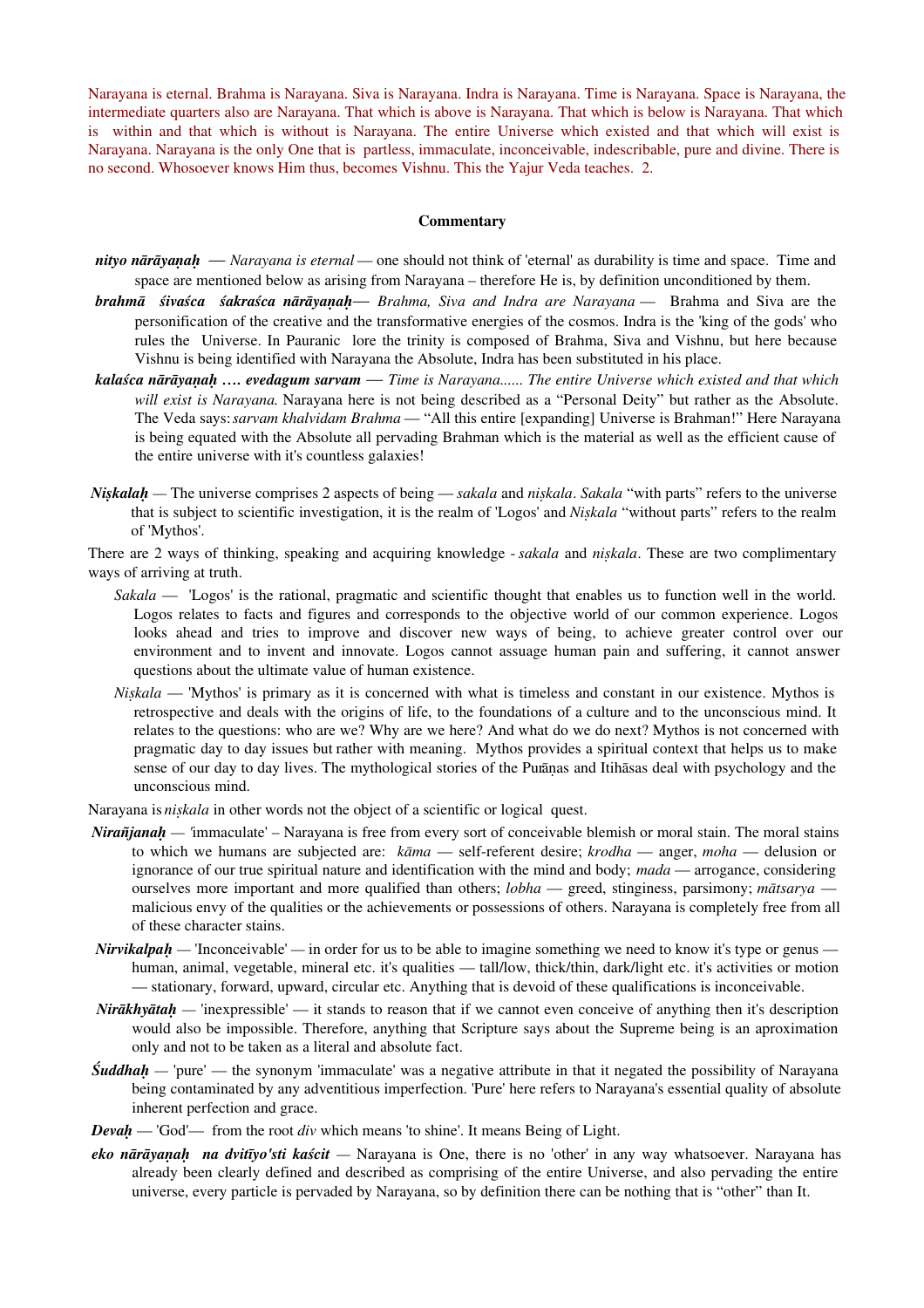Narayana is eternal. Brahma is Narayana. Siva is Narayana. Indra is Narayana. Time is Narayana. Space is Narayana, the intermediate quarters also are Narayana. That which is above is Narayana. That which is below is Narayana. That which is within and that which is without is Narayana. The entire Universe which existed and that which will exist is Narayana. Narayana is the only One that is partless, immaculate, inconceivable, indescribable, pure and divine. There is no second. Whosoever knows Him thus, becomes Vishnu. This the Yajur Veda teaches. 2.

#### **Commentary**

- *nityo nārāyaṇaḥ Narayana is eternal* one should not think of 'eternal' as durability is time and space. Time and space are mentioned below as arising from Narayana – therefore He is, by definition unconditioned by them.
- *brahmā śivaśca śakraśca nārāyaṇaḥ Brahma, Siva and Indra are Narayana* Brahma and Siva are the personification of the creative and the transformative energies of the cosmos. Indra is the 'king of the gods' who rules the Universe. In Pauranic lore the trinity is composed of Brahma, Siva and Vishnu, but here because Vishnu is being identified with Narayana the Absolute, Indra has been substituted in his place.
- *kalaśca nārāyaṇaḥ …. evedagum sarvam Time is Narayana...... The entire Universe which existed and that which will exist is Narayana.* Narayana here is not being described as a "Personal Deity" but rather as the Absolute. The Veda says: *sarvam khalvidam Brahma* — "All this entire [expanding] Universe is Brahman!" Here Narayana is being equated with the Absolute all pervading Brahman which is the material as well as the efficient cause of the entire universe with it's countless galaxies!
- *Niṣkalaḥ* The universe comprises 2 aspects of being *sakala* and *niṣkala*. *Sakala* "with parts" refers to the universe that is subject to scientific investigation, it is the realm of 'Logos' and *Niṣkala* "without parts" refers to the realm of 'Mythos'.
- There are 2 ways of thinking, speaking and acquiring knowledge *sakala* and *niṣkala*. These are two complimentary ways of arriving at truth.
	- *Sakala* 'Logos' is the rational, pragmatic and scientific thought that enables us to function well in the world. Logos relates to facts and figures and corresponds to the objective world of our common experience. Logos looks ahead and tries to improve and discover new ways of being, to achieve greater control over our environment and to invent and innovate. Logos cannot assuage human pain and suffering, it cannot answer questions about the ultimate value of human existence.
	- *Niṣkala* 'Mythos' is primary as it is concerned with what is timeless and constant in our existence. Mythos is retrospective and deals with the origins of life, to the foundations of a culture and to the unconscious mind. It relates to the questions: who are we? Why are we here? And what do we do next? Mythos is not concerned with pragmatic day to day issues but rather with meaning. Mythos provides a spiritual context that helps us to make sense of our day to day lives. The mythological stories of the Purāṇas and Itihāsas deal with psychology and the unconscious mind.

Narayana is *niṣkala* in other words not the object of a scientific or logical quest.

- *Nirañjanah* 'immaculate' Narayana is free from every sort of conceivable blemish or moral stain. The moral stains to which we humans are subjected are: *kāma* — self-referent desire; *krodha* — anger, *moha* — delusion or ignorance of our true spiritual nature and identification with the mind and body; *mada* — arrogance, considering ourselves more important and more qualified than others; *lobha* — greed, stinginess, parsimony; *mātsarya* malicious envy of the qualities or the achievements or possessions of others. Narayana is completely free from all of these character stains.
- *Nirvikalpah* 'Inconceivable' in order for us to be able to imagine something we need to know it's type or genus human, animal, vegetable, mineral etc. it's qualities — tall/low, thick/thin, dark/light etc. it's activities or motion — stationary, forward, upward, circular etc. Anything that is devoid of these qualifications is inconceivable.
- *Nirākhyātah* 'inexpressible' it stands to reason that if we cannot even conceive of anything then it's description would also be impossible. Therefore, anything that Scripture says about the Supreme being is an aproximation only and not to be taken as a literal and absolute fact.
- *Śuddhah* 'pure' the synonym 'immaculate' was a negative attribute in that it negated the possibility of Narayana being contaminated by any adventitious imperfection. 'Pure' here refers to Narayana's essential quality of absolute inherent perfection and grace.
- *Devah* 'God'— from the root *div* which means 'to shine'. It means Being of Light.
- *eko nārāyaṇaḥ na dvitīyo'sti kaścit* Narayana is One, there is no 'other' in any way whatsoever. Narayana has already been clearly defined and described as comprising of the entire Universe, and also pervading the entire universe, every particle is pervaded by Narayana, so by definition there can be nothing that is "other" than It.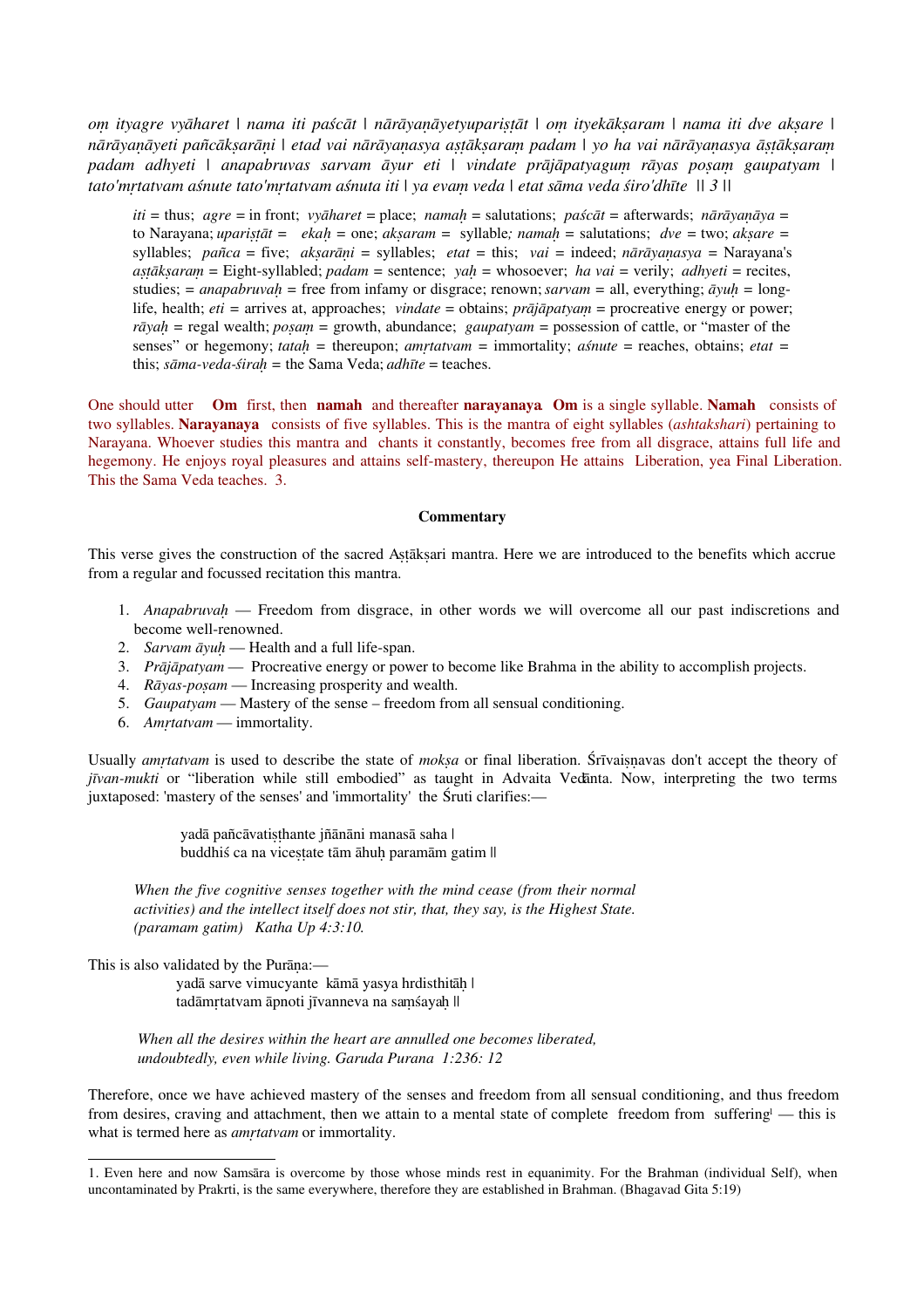*oṃ ityagre vyāharet | nama iti paścāt | nārāyaṇāyetyupariṣṭāt | oṃ ityekākṣaram | nama iti dve akṣare | nārāyaṇāyeti pañcākṣarāṇi | etad vai nārāyaṇasya aṣṭākṣaraṃ padam | yo ha vai nārāyaṇasya āṣṭākṣaraṃ padam adhyeti | anapabruvas sarvam āyur eti | vindate prājāpatyaguṃ rāyas poṣaṃ gaupatyam | tato'mṛtatvam aśnute tato'mṛtatvam aśnuta iti | ya evaṃ veda | etat sāma veda śiro'dhīte || 3 ||*

*iti =* thus; *agre =* in front; *vyāharet =* place; *namaḥ =* salutations; *paścāt =* afterwards; *nārāyaṇāya =* to Narayana; *upariṣṭāt = ekaḥ =* one; *akṣaram =* syllable*; namaḥ =* salutations; *dve =* two; *akṣare =* syllables; *pañca* = five; *akṣarāṇi =* syllables; *etat =* this; *vai =* indeed; *nārāyaṇasya =* Narayana's *aṣṭākṣaraṃ =* Eight-syllabled; *padam =* sentence; *yaḥ =* whosoever; *ha vai =* verily; *adhyeti =* recites, studies; = *anapabruvah* = free from infamy or disgrace; renown; *sarvam* = all, everything;  $\bar{a}yuh = \text{long-}$ life, health; *eti =* arrives at, approaches; *vindate* = obtains; *prājāpatyaṃ* = procreative energy or power; *rāyaḥ =* regal wealth; *poṣaṃ =* growth, abundance; *gaupatyam =* possession of cattle, or "master of the senses" or hegemony; *tatah* = thereupon; *amrtatvam* = immortality; *aśnute* = reaches, obtains; *etat* = this; *sāma-veda-śiraḥ =* the Sama Veda; *adhīte* = teaches.

One should utter **Om** first, then **namah** and thereafter **narayanaya**. **Om** is a single syllable. **Namah** consists of two syllables. **Narayanaya** consists of five syllables. This is the mantra of eight syllables (*ashtakshari*) pertaining to Narayana. Whoever studies this mantra and chants it constantly, becomes free from all disgrace, attains full life and hegemony. He enjoys royal pleasures and attains self-mastery, thereupon He attains Liberation, yea Final Liberation. This the Sama Veda teaches. 3.

#### **Commentary**

This verse gives the construction of the sacred Aṣṭākṣari mantra. Here we are introduced to the benefits which accrue from a regular and focussed recitation this mantra.

- 1. *Anapabruvaḥ* Freedom from disgrace, in other words we will overcome all our past indiscretions and become well-renowned.
- 2. *Sarvam āyuḥ* Health and a full life-span.
- 3. *Prājāpatyam* Procreative energy or power to become like Brahma in the ability to accomplish projects.
- 4. *Rāyas-poṣam* Increasing prosperity and wealth.
- 5. *Gaupatyam* Mastery of the sense freedom from all sensual conditioning.
- 6. *Amṛtatvam* immortality.

Usually *amṛtatvam* is used to describe the state of *mokṣa* or final liberation. Śrīvaiṣṇavas don't accept the theory of *jīvan-mukti* or "liberation while still embodied" as taught in Advaita Vedānta. Now, interpreting the two terms juxtaposed: 'mastery of the senses' and 'immortality' the Śruti clarifies:—

> yadā pañcāvatiṣṭhante jñānāni manasā saha | buddhiś ca na viceṣṭate tām āhuḥ paramām gatim ||

*When the five cognitive senses together with the mind cease (from their normal activities) and the intellect itself does not stir, that, they say, is the Highest State. (paramam gatim) Katha Up 4:3:10.* 

This is also validated by the Purāna:-

yadā sarve vimucyante kāmā yasya hrdisthitāḥ | tadāmrtatvam āpnoti jīvanneva na samśayah ||

*When all the desires within the heart are annulled one becomes liberated, undoubtedly, even while living. Garuda Purana 1:236: 12*

Therefore, once we have achieved mastery of the senses and freedom from all sensual conditioning, and thus freedom from desires, cravin[g](#page-4-0) and attachment, then we attain to a mental state of complete freedom from suffering<sup>1</sup> — this is what is termed here as *amrtatvam* or immortality.

<span id="page-4-0"></span><sup>1.</sup> Even here and now Samsāra is overcome by those whose minds rest in equanimity. For the Brahman (individual Self), when uncontaminated by Prakrti, is the same everywhere, therefore they are established in Brahman. (Bhagavad Gita 5:19)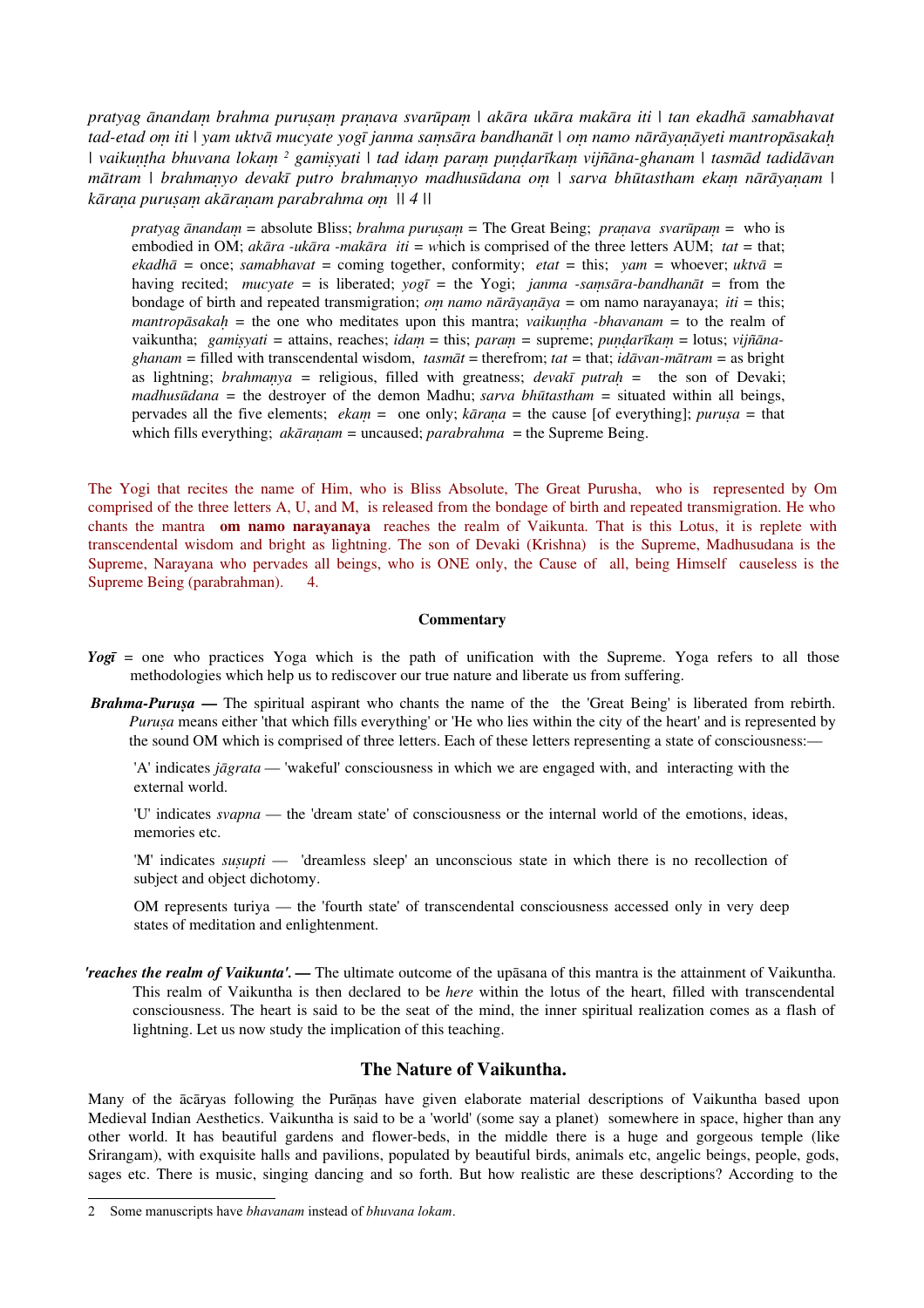*pratyag ānandaṃ brahma puruṣaṃ praṇava svarūpaṃ | akāra ukāra makāra iti | tan ekadhā samabhavat tad-etad oṃ iti | yam uktvā mucyate yogī janma saṃsāra bandhanāt | oṃ namo nārāyaṇāyeti mantropāsakaḥ | vaikuṇṭha bhuvana lokaṃ [2](#page-5-0) gamiṣyati | tad idaṃ paraṃ puṇḍarīkaṃ vijñāna-ghanam | tasmād tadidāvan mātram | brahmaṇyo devakī putro brahmaṇyo madhusūdana oṃ | sarva bhūtastham ekaṃ nārāyaṇam | kāraṇa puruṣaṃ akāraṇam parabrahma oṃ || 4 ||*

*pratyag ānandaṃ =* absolute Bliss; *brahma puruṣaṃ =* The Great Being; *praṇava svarūpaṃ =* who is embodied in OM; *akāra -ukāra -makāra iti = w*hich is comprised of the three letters AUM; *tat =* that; *ekadhā =* once; *samabhavat =* coming together, conformity; *etat =* this; *yam =* whoever; *uktvā =* having recited; *mucyate =* is liberated; *yogī =* the Yogi; *janma -saṃsāra-bandhanāt =* from the bondage of birth and repeated transmigration; *oṃ namo nārāyaṇāya =* om namo narayanaya; *iti =* this; *mantropāsakah* = the one who meditates upon this mantra; *vaikuntha -bhavanam* = to the realm of vaikuntha; *gamiṣyati =* attains, reaches; *idaṃ* = this; *paraṃ =* supreme; *puṇḍarīkaṃ* = lotus; *vijñānaghanam =* filled with transcendental wisdom, *tasmāt* = therefrom; *tat =* that; *idāvan-mātram =* as bright as lightning; *brahmaṇya =* religious, filled with greatness; *devakī putraḥ =* the son of Devaki; *madhusūdana =* the destroyer of the demon Madhu; *sarva bhūtastham =* situated within all beings, pervades all the five elements; *ekaṃ =* one only; *kāraṇa =* the cause [of everything]; *puruṣa =* that which fills everything; *akāranam* = uncaused; *parabrahma* = the Supreme Being.

The Yogi that recites the name of Him, who is Bliss Absolute, The Great Purusha, who is represented by Om comprised of the three letters A, U, and M, is released from the bondage of birth and repeated transmigration. He who chants the mantra **om namo narayanaya** reaches the realm of Vaikunta. That is this Lotus, it is replete with transcendental wisdom and bright as lightning. The son of Devaki (Krishna) is the Supreme, Madhusudana is the Supreme, Narayana who pervades all beings, who is ONE only, the Cause of all, being Himself causeless is the Supreme Being (parabrahman). 4.

#### **Commentary**

- *Yogī* = one who practices Yoga which is the path of unification with the Supreme. Yoga refers to all those methodologies which help us to rediscover our true nature and liberate us from suffering.
- *Brahma-Puruṣa*The spiritual aspirant who chants the name of the the 'Great Being' is liberated from rebirth. *Puruṣa* means either 'that which fills everything' or 'He who lies within the city of the heart' and is represented by the sound OM which is comprised of three letters. Each of these letters representing a state of consciousness:—

'A' indicates *jāgrata* — 'wakeful' consciousness in which we are engaged with, and interacting with the external world.

'U' indicates *svapna* — the 'dream state' of consciousness or the internal world of the emotions, ideas, memories etc.

'M' indicates *suṣupti* — 'dreamless sleep' an unconscious state in which there is no recollection of subject and object dichotomy.

OM represents turiya — the 'fourth state' of transcendental consciousness accessed only in very deep states of meditation and enlightenment.

*'reaches the realm of Vaikunta'.* **—** The ultimate outcome of the upāsana of this mantra is the attainment of Vaikuntha. This realm of Vaikuntha is then declared to be *here* within the lotus of the heart, filled with transcendental consciousness. The heart is said to be the seat of the mind, the inner spiritual realization comes as a flash of lightning. Let us now study the implication of this teaching.

#### **The Nature of Vaikuntha.**

Many of the ācāryas following the Purāṇas have given elaborate material descriptions of Vaikuntha based upon Medieval Indian Aesthetics. Vaikuntha is said to be a 'world' (some say a planet) somewhere in space, higher than any other world. It has beautiful gardens and flower-beds, in the middle there is a huge and gorgeous temple (like Srirangam), with exquisite halls and pavilions, populated by beautiful birds, animals etc, angelic beings, people, gods, sages etc. There is music, singing dancing and so forth. But how realistic are these descriptions? According to the

<span id="page-5-0"></span><sup>2</sup> Some manuscripts have *bhavanam* instead of *bhuvana lokam*.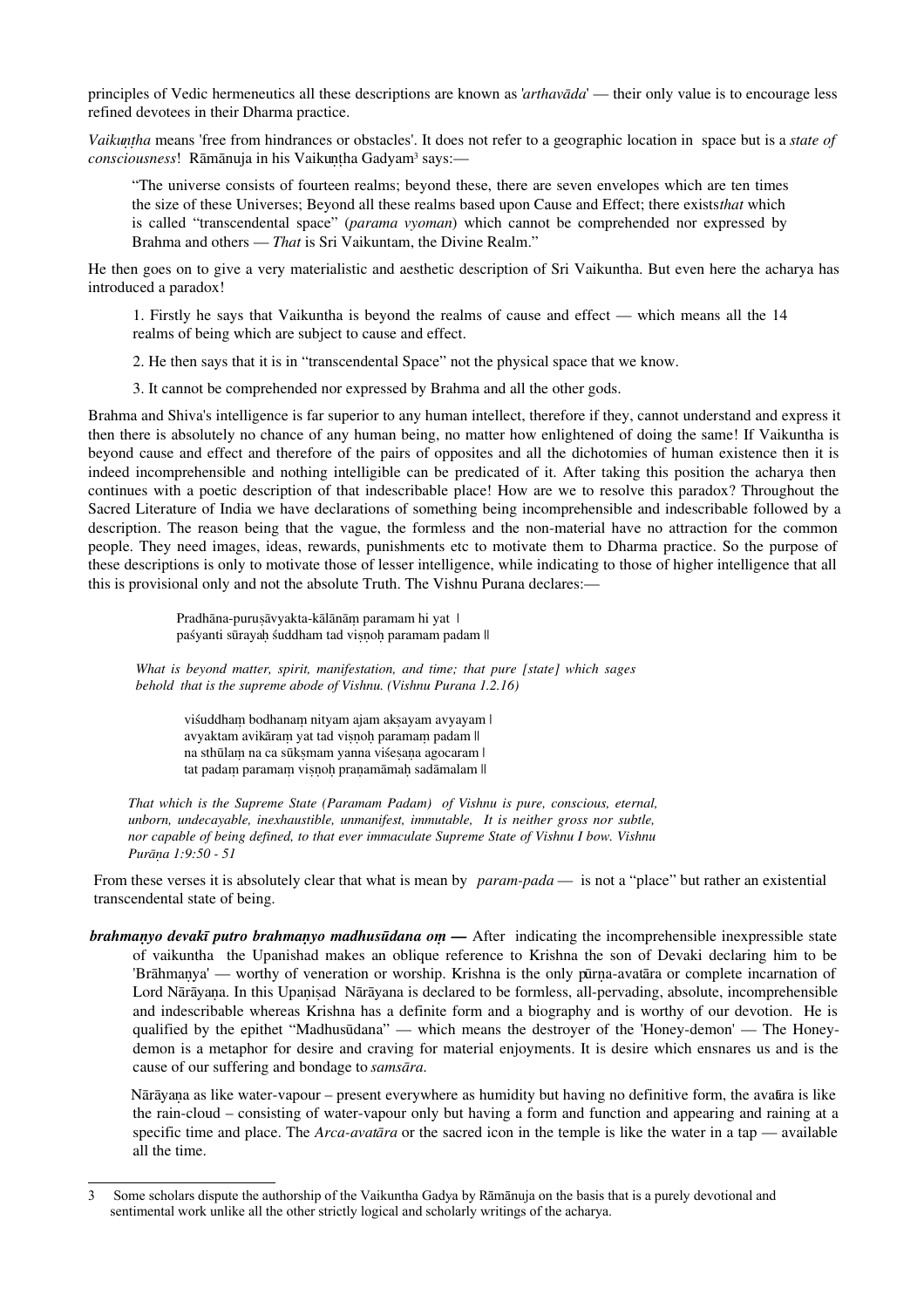principles of Vedic hermeneutics all these descriptions are known as '*arthavāda*' — their only value is to encourage less refined devotees in their Dharma practice.

*Vaikuṇṭha* means 'free from hindrances or obstacles'. It does not refer to a geographic location in space but is a *state of*  $\it consciousness!$  Rāmānuja in his Vaikuṇṭha Gadyam<sup>[3](#page-6-0)</sup> says:—

"The universe consists of fourteen realms; beyond these, there are seven envelopes which are ten times the size of these Universes; Beyond all these realms based upon Cause and Effect; there exists *that* which is called "transcendental space" (*parama vyoman*) which cannot be comprehended nor expressed by Brahma and others — *That* is Sri Vaikuntam, the Divine Realm."

He then goes on to give a very materialistic and aesthetic description of Sri Vaikuntha. But even here the acharya has introduced a paradox!

1. Firstly he says that Vaikuntha is beyond the realms of cause and effect — which means all the 14 realms of being which are subject to cause and effect.

2. He then says that it is in "transcendental Space" not the physical space that we know.

3. It cannot be comprehended nor expressed by Brahma and all the other gods.

Brahma and Shiva's intelligence is far superior to any human intellect, therefore if they, cannot understand and express it then there is absolutely no chance of any human being, no matter how enlightened of doing the same! If Vaikuntha is beyond cause and effect and therefore of the pairs of opposites and all the dichotomies of human existence then it is indeed incomprehensible and nothing intelligible can be predicated of it. After taking this position the acharya then continues with a poetic description of that indescribable place! How are we to resolve this paradox? Throughout the Sacred Literature of India we have declarations of something being incomprehensible and indescribable followed by a description. The reason being that the vague, the formless and the non-material have no attraction for the common people. They need images, ideas, rewards, punishments etc to motivate them to Dharma practice. So the purpose of these descriptions is only to motivate those of lesser intelligence, while indicating to those of higher intelligence that all this is provisional only and not the absolute Truth. The Vishnu Purana declares:—

> Pradhāna-puruṣāvyakta-kālānām paramam hi yat | paśyanti sūrayah śuddham tad visnoh paramam padam ||

*What is beyond matter, spirit, manifestation, and time; that pure [state] which sages behold that is the supreme abode of Vishnu. (Vishnu Purana 1.2.16)*

viśuddham bodhanam nityam ajam aksayam avyayam | avyaktam avikāraṃ yat tad viṣṇoḥ paramaṃ padam || na sthūlam na ca sūksmam yanna viśesana agocaram | tat padaṃ paramaṃ viṣṇoḥ praṇamāmaḥ sadāmalam ||

*That which is the Supreme State (Paramam Padam) of Vishnu is pure, conscious, eternal, unborn, undecayable, inexhaustible, unmanifest, immutable, It is neither gross nor subtle, nor capable of being defined, to that ever immaculate Supreme State of Vishnu I bow. Vishnu Purāṇa 1:9:50 - 51*

From these verses it is absolutely clear that what is mean by *param-pada* — is not a "place" but rather an existential transcendental state of being.

*brahmanyo devakī putro brahmanyo madhusūdana om* — After indicating the incomprehensible inexpressible state of vaikuntha the Upanishad makes an oblique reference to Krishna the son of Devaki declaring him to be 'Brāhmaṇya' — worthy of veneration or worship. Krishna is the only pūrṇa-avatāra or complete incarnation of Lord Nārāyana. In this Upanisad Nārāyana is declared to be formless, all-pervading, absolute, incomprehensible and indescribable whereas Krishna has a definite form and a biography and is worthy of our devotion. He is qualified by the epithet "Madhusūdana" — which means the destroyer of the 'Honey-demon' — The Honeydemon is a metaphor for desire and craving for material enjoyments. It is desire which ensnares us and is the cause of our suffering and bondage to *samsāra*.

Nārāyaṇa as like water-vapour – present everywhere as humidity but having no definitive form, the avatāra is like the rain-cloud – consisting of water-vapour only but having a form and function and appearing and raining at a specific time and place. The *Arca-avatāra* or the sacred icon in the temple is like the water in a tap — available all the time.

<span id="page-6-0"></span><sup>3</sup> Some scholars dispute the authorship of the Vaikuntha Gadya by Rāmānuja on the basis that is a purely devotional and sentimental work unlike all the other strictly logical and scholarly writings of the acharya.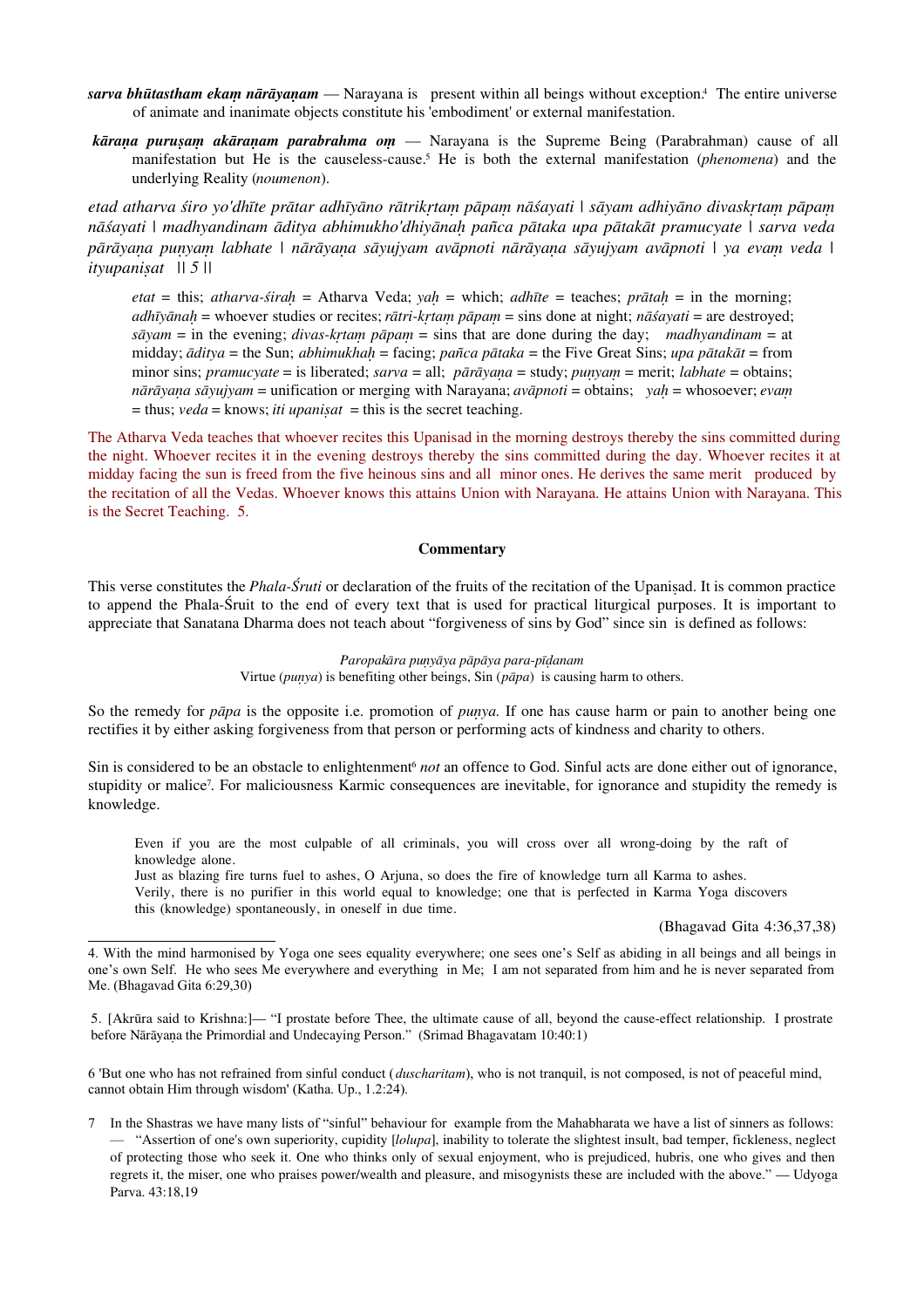- *sarva bhūtastham ekaṃ nārāyaṇam* Narayana is present within all beings without exception[.](#page-7-0)<sup>4</sup> The entire universe of animate and inanimate objects constitute his 'embodiment' or external manifestation.
- *kāraṇa puruṣaṃ akāraṇam parabrahma oṃ* Narayana is the Supreme Being (Parabrahman) cause of all manifestation but He is the causeless-cause.[5](#page-7-1) He is both the external manifestation (*phenomena*) and the underlying Reality (*noumenon*).

*etad atharva śiro yo'dhīte prātar adhīyāno rātrikṛtaṃ pāpaṃ nāśayati | sāyam adhiyāno divaskṛtaṃ pāpaṃ nāśayati | madhyandinam āditya abhimukho'dhiyānaḥ pañca pātaka upa pātakāt pramucyate | sarva veda pārāyaṇa puṇyaṃ labhate | nārāyaṇa sāyujyam avāpnoti nārāyaṇa sāyujyam avāpnoti | ya evaṃ veda | ityupaniṣat || 5 ||*

*etat* = this; *atharva-śiraḥ* = Atharva Veda; *yaḥ* = which; *adhīte* = teaches; *prātaḥ* = in the morning; *adhīyānaḥ* = whoever studies or recites; *rātri-kṛtaṃ pāpaṃ* = sins done at night; *nāśayati* = are destroyed; *sāyam* = in the evening; *divas-kṛtaṃ pāpaṃ* = sins that are done during the day; *madhyandinam* = at midday; *āditya* = the Sun; *abhimukhaḥ* = facing; *pañca pātaka* = the Five Great Sins; *upa pātakāt* = from minor sins; *pramucyate* = is liberated; *sarva* = all; *pārāyaṇa* = study; *puṇyaṃ* = merit; *labhate* = obtains; *nārāyaṇa sāyujyam* = unification or merging with Narayana; *avāpnoti* = obtains; *yaḥ* = whosoever; *evaṃ*  $=$  thus; *veda*  $=$  knows; *iti upanisat*  $=$  this is the secret teaching.

The Atharva Veda teaches that whoever recites this Upanisad in the morning destroys thereby the sins committed during the night. Whoever recites it in the evening destroys thereby the sins committed during the day. Whoever recites it at midday facing the sun is freed from the five heinous sins and all minor ones. He derives the same merit produced by the recitation of all the Vedas. Whoever knows this attains Union with Narayana. He attains Union with Narayana. This is the Secret Teaching. 5.

#### **Commentary**

This verse constitutes the *Phala-Śruti* or declaration of the fruits of the recitation of the Upanisad. It is common practice to append the Phala-Śruit to the end of every text that is used for practical liturgical purposes. It is important to appreciate that Sanatana Dharma does not teach about "forgiveness of sins by God" since sin is defined as follows:

#### *Paropakāra puṇyāya pāpāya para-pīḍanam* Virtue (*puṇya*) is benefiting other beings, Sin (*pāpa*) is causing harm to others.

So the remedy for *papa* is the opposite i.e. promotion of *punya*. If one has cause harm or pain to another being one rectifies it by either asking forgiveness from that person or performing acts of kindness and charity to others.

Sin is considered to be an obstacle to enlightenment<sup>[6](#page-7-2)</sup> *not* an offence to God. Sinful acts are done either out of ignorance, stupidity or malice<sup>[7](#page-7-3)</sup>. For maliciousness Karmic consequences are inevitable, for ignorance and stupidity the remedy is knowledge.

Even if you are the most culpable of all criminals, you will cross over all wrong-doing by the raft of knowledge alone.

Just as blazing fire turns fuel to ashes, O Arjuna, so does the fire of knowledge turn all Karma to ashes.

Verily, there is no purifier in this world equal to knowledge; one that is perfected in Karma Yoga discovers this (knowledge) spontaneously, in oneself in due time.

(Bhagavad Gita 4:36,37,38)

<span id="page-7-2"></span>6 'But one who has not refrained from sinful conduct (*duscharitam*), who is not tranquil, is not composed, is not of peaceful mind, cannot obtain Him through wisdom' (Katha. Up., 1.2:24).

<span id="page-7-0"></span><sup>4.</sup> With the mind harmonised by Yoga one sees equality everywhere; one sees one's Self as abiding in all beings and all beings in one's own Self. He who sees Me everywhere and everything in Me; I am not separated from him and he is never separated from Me. (Bhagavad Gita 6:29,30)

<span id="page-7-1"></span><sup>5. [</sup>Akrūra said to Krishna:]— "I prostate before Thee, the ultimate cause of all, beyond the cause-effect relationship. I prostrate before Nārāyaṇa the Primordial and Undecaying Person." (Srimad Bhagavatam 10:40:1)

<span id="page-7-3"></span><sup>7</sup> In the Shastras we have many lists of "sinful" behaviour for example from the Mahabharata we have a list of sinners as follows: — "Assertion of one's own superiority, cupidity [*lolupa*], inability to tolerate the slightest insult, bad temper, fickleness, neglect of protecting those who seek it. One who thinks only of sexual enjoyment, who is prejudiced, hubris, one who gives and then regrets it, the miser, one who praises power/wealth and pleasure, and misogynists these are included with the above." — Udyoga Parva. 43:18,19